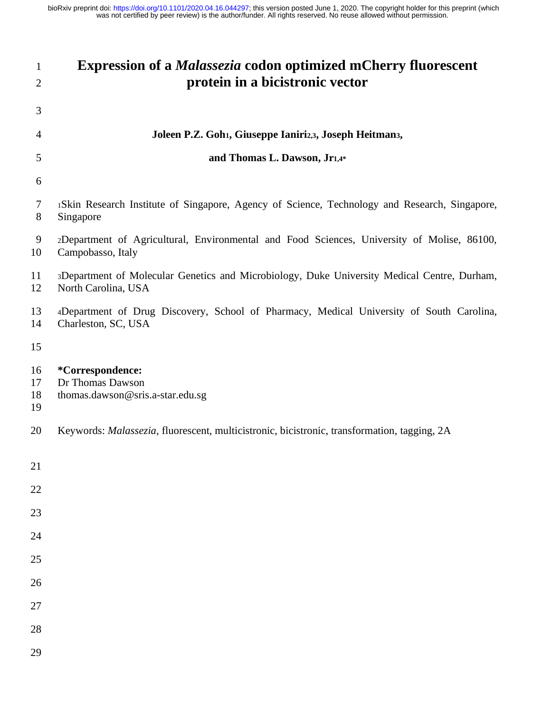| $\mathbf{1}$<br>$\overline{2}$ | <b>Expression of a <i>Malassezia</i></b> codon optimized mCherry fluorescent<br>protein in a bicistronic vector    |
|--------------------------------|--------------------------------------------------------------------------------------------------------------------|
| 3                              |                                                                                                                    |
| $\overline{4}$                 | Joleen P.Z. Goh1, Giuseppe Ianiri2,3, Joseph Heitman3,                                                             |
| 5                              | and Thomas L. Dawson, Jr1,4*                                                                                       |
| 6                              |                                                                                                                    |
| 7<br>8                         | 1Skin Research Institute of Singapore, Agency of Science, Technology and Research, Singapore,<br>Singapore         |
| 9<br>10                        | 2Department of Agricultural, Environmental and Food Sciences, University of Molise, 86100,<br>Campobasso, Italy    |
| 11<br>12                       | 3Department of Molecular Genetics and Microbiology, Duke University Medical Centre, Durham,<br>North Carolina, USA |
| 13<br>14                       | 4Department of Drug Discovery, School of Pharmacy, Medical University of South Carolina,<br>Charleston, SC, USA    |
| 15                             |                                                                                                                    |
| 16<br>17<br>18<br>19           | *Correspondence:<br>Dr Thomas Dawson<br>thomas.dawson@sris.a-star.edu.sg                                           |
| 20                             | Keywords: Malassezia, fluorescent, multicistronic, bicistronic, transformation, tagging, 2A                        |
| 21                             |                                                                                                                    |
| 22                             |                                                                                                                    |
| 23                             |                                                                                                                    |
| 24                             |                                                                                                                    |
| 25                             |                                                                                                                    |
| 26                             |                                                                                                                    |
| 27<br>28                       |                                                                                                                    |
| 29                             |                                                                                                                    |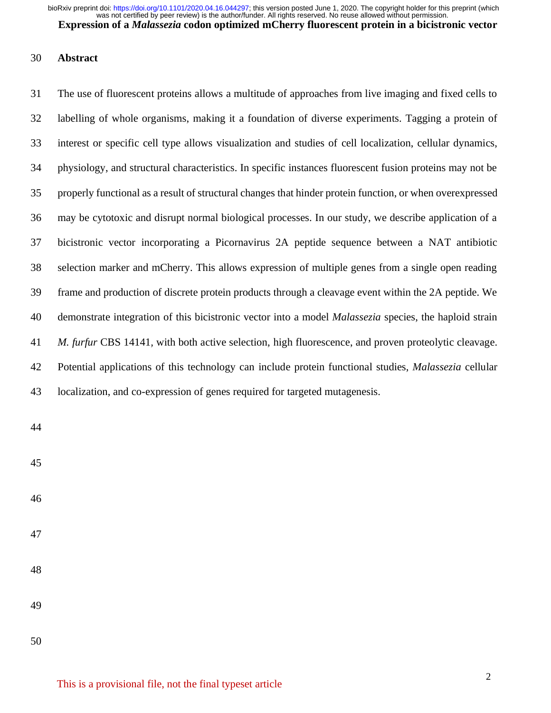# **Abstract**

 The use of fluorescent proteins allows a multitude of approaches from live imaging and fixed cells to labelling of whole organisms, making it a foundation of diverse experiments. Tagging a protein of interest or specific cell type allows visualization and studies of cell localization, cellular dynamics, physiology, and structural characteristics. In specific instances fluorescent fusion proteins may not be properly functional as a result of structural changes that hinder protein function, or when overexpressed may be cytotoxic and disrupt normal biological processes. In our study, we describe application of a bicistronic vector incorporating a Picornavirus 2A peptide sequence between a NAT antibiotic selection marker and mCherry. This allows expression of multiple genes from a single open reading frame and production of discrete protein products through a cleavage event within the 2A peptide. We demonstrate integration of this bicistronic vector into a model *Malassezia* species, the haploid strain *M. furfur* CBS 14141*,* with both active selection, high fluorescence, and proven proteolytic cleavage. Potential applications of this technology can include protein functional studies, *Malassezia* cellular localization, and co-expression of genes required for targeted mutagenesis.

- 
- 
- 
- 
- 
- 
-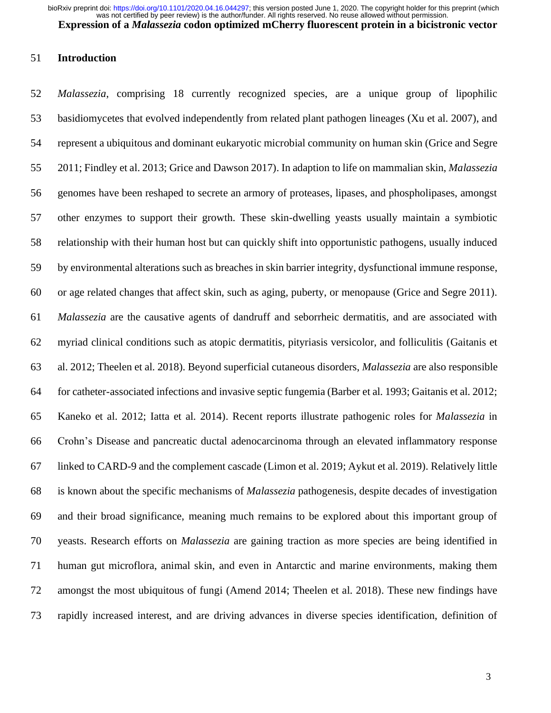#### **Introduction**

 *Malassezia*, comprising 18 currently recognized species, are a unique group of lipophilic basidiomycetes that evolved independently from related plant pathogen lineages (Xu et al. 2007), and represent a ubiquitous and dominant eukaryotic microbial community on human skin (Grice and Segre 2011; Findley et al. 2013; Grice and Dawson 2017). In adaption to life on mammalian skin, *Malassezia*  genomes have been reshaped to secrete an armory of proteases, lipases, and phospholipases, amongst other enzymes to support their growth. These skin-dwelling yeasts usually maintain a symbiotic relationship with their human host but can quickly shift into opportunistic pathogens, usually induced by environmental alterations such as breaches in skin barrier integrity, dysfunctional immune response, or age related changes that affect skin, such as aging, puberty, or menopause (Grice and Segre 2011). *Malassezia* are the causative agents of dandruff and seborrheic dermatitis, and are associated with myriad clinical conditions such as atopic dermatitis, pityriasis versicolor, and folliculitis (Gaitanis et al. 2012; Theelen et al. 2018). Beyond superficial cutaneous disorders, *Malassezia* are also responsible for catheter-associated infections and invasive septic fungemia (Barber et al. 1993; Gaitanis et al. 2012; Kaneko et al. 2012; Iatta et al. 2014). Recent reports illustrate pathogenic roles for *Malassezia* in Crohn's Disease and pancreatic ductal adenocarcinoma through an elevated inflammatory response linked to CARD-9 and the complement cascade (Limon et al. 2019; Aykut et al. 2019). Relatively little is known about the specific mechanisms of *Malassezia* pathogenesis, despite decades of investigation and their broad significance, meaning much remains to be explored about this important group of yeasts. Research efforts on *Malassezia* are gaining traction as more species are being identified in human gut microflora, animal skin, and even in Antarctic and marine environments, making them amongst the most ubiquitous of fungi (Amend 2014; Theelen et al. 2018). These new findings have rapidly increased interest, and are driving advances in diverse species identification, definition of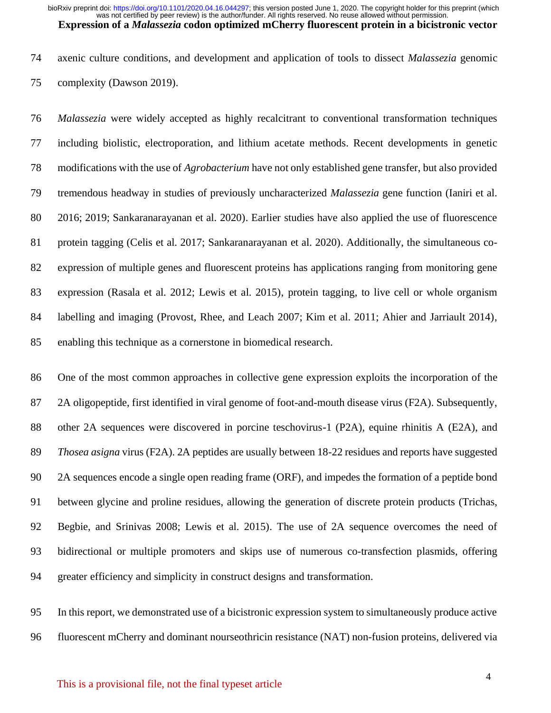axenic culture conditions, and development and application of tools to dissect *Malassezia* genomic complexity (Dawson 2019).

 *Malassezia* were widely accepted as highly recalcitrant to conventional transformation techniques including biolistic, electroporation, and lithium acetate methods. Recent developments in genetic modifications with the use of *Agrobacterium* have not only established gene transfer, but also provided tremendous headway in studies of previously uncharacterized *Malassezia* gene function (Ianiri et al. 2016; 2019; Sankaranarayanan et al. 2020). Earlier studies have also applied the use of fluorescence protein tagging (Celis et al. 2017; Sankaranarayanan et al. 2020). Additionally, the simultaneous co- expression of multiple genes and fluorescent proteins has applications ranging from monitoring gene expression (Rasala et al. 2012; Lewis et al. 2015), protein tagging, to live cell or whole organism labelling and imaging (Provost, Rhee, and Leach 2007; Kim et al. 2011; Ahier and Jarriault 2014), enabling this technique as a cornerstone in biomedical research.

 One of the most common approaches in collective gene expression exploits the incorporation of the 2A oligopeptide, first identified in viral genome of foot-and-mouth disease virus (F2A). Subsequently, other 2A sequences were discovered in porcine teschovirus-1 (P2A), equine rhinitis A (E2A), and *Thosea asigna* virus (F2A). 2A peptides are usually between 18-22 residues and reports have suggested 2A sequences encode a single open reading frame (ORF), and impedes the formation of a peptide bond between glycine and proline residues, allowing the generation of discrete protein products (Trichas, Begbie, and Srinivas 2008; Lewis et al. 2015). The use of 2A sequence overcomes the need of bidirectional or multiple promoters and skips use of numerous co-transfection plasmids, offering greater efficiency and simplicity in construct designs and transformation.

 In this report, we demonstrated use of a bicistronic expression system to simultaneously produce active fluorescent mCherry and dominant nourseothricin resistance (NAT) non-fusion proteins, delivered via

# This is a provisional file, not the final typeset article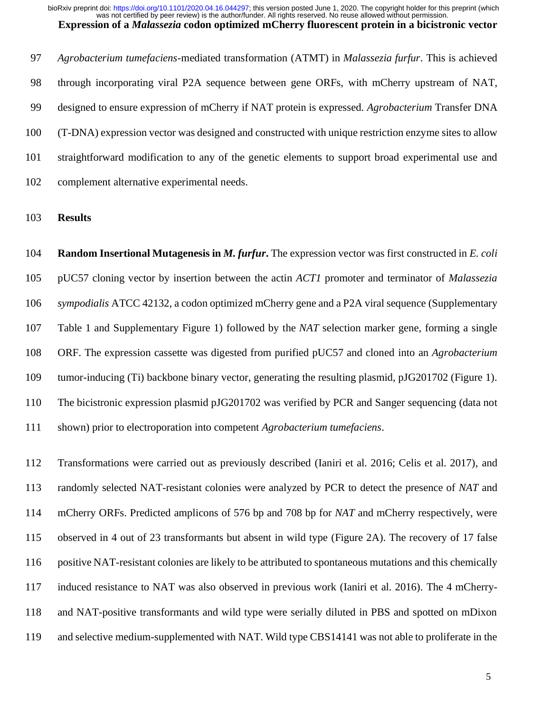*Agrobacterium tumefaciens*-mediated transformation (ATMT) in *Malassezia furfur*. This is achieved through incorporating viral P2A sequence between gene ORFs, with mCherry upstream of NAT, designed to ensure expression of mCherry if NAT protein is expressed. *Agrobacterium* Transfer DNA (T-DNA) expression vector was designed and constructed with unique restriction enzyme sites to allow straightforward modification to any of the genetic elements to support broad experimental use and complement alternative experimental needs.

# **Results**

 **Random Insertional Mutagenesis in** *M. furfur***.** The expression vector was first constructed in *E. coli* pUC57 cloning vector by insertion between the actin *ACT1* promoter and terminator of *Malassezia sympodialis* ATCC 42132, a codon optimized mCherry gene and a P2A viral sequence (Supplementary Table 1 and Supplementary Figure 1) followed by the *NAT* selection marker gene, forming a single ORF. The expression cassette was digested from purified pUC57 and cloned into an *Agrobacterium* tumor-inducing (Ti) backbone binary vector, generating the resulting plasmid, pJG201702 (Figure 1). The bicistronic expression plasmid pJG201702 was verified by PCR and Sanger sequencing (data not shown) prior to electroporation into competent *Agrobacterium tumefaciens*.

 Transformations were carried out as previously described (Ianiri et al. 2016; Celis et al. 2017), and randomly selected NAT-resistant colonies were analyzed by PCR to detect the presence of *NAT* and mCherry ORFs. Predicted amplicons of 576 bp and 708 bp for *NAT* and mCherry respectively, were observed in 4 out of 23 transformants but absent in wild type (Figure 2A). The recovery of 17 false positive NAT-resistant colonies are likely to be attributed to spontaneous mutations and this chemically induced resistance to NAT was also observed in previous work (Ianiri et al. 2016). The 4 mCherry- and NAT-positive transformants and wild type were serially diluted in PBS and spotted on mDixon and selective medium-supplemented with NAT. Wild type CBS14141 was not able to proliferate in the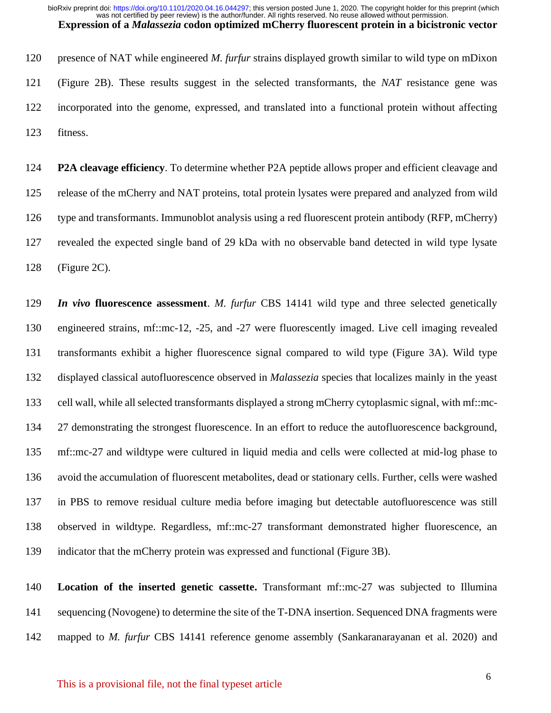presence of NAT while engineered *M. furfur* strains displayed growth similar to wild type on mDixon (Figure 2B). These results suggest in the selected transformants, the *NAT* resistance gene was incorporated into the genome, expressed, and translated into a functional protein without affecting fitness.

 **P2A cleavage efficiency**. To determine whether P2A peptide allows proper and efficient cleavage and release of the mCherry and NAT proteins, total protein lysates were prepared and analyzed from wild type and transformants. Immunoblot analysis using a red fluorescent protein antibody (RFP, mCherry) revealed the expected single band of 29 kDa with no observable band detected in wild type lysate (Figure 2C).

 *In vivo* **fluorescence assessment**. *M. furfur* CBS 14141 wild type and three selected genetically engineered strains, mf::mc-12, -25, and -27 were fluorescently imaged. Live cell imaging revealed transformants exhibit a higher fluorescence signal compared to wild type (Figure 3A). Wild type displayed classical autofluorescence observed in *Malassezia* species that localizes mainly in the yeast cell wall, while all selected transformants displayed a strong mCherry cytoplasmic signal, with mf::mc- 27 demonstrating the strongest fluorescence. In an effort to reduce the autofluorescence background, mf::mc-27 and wildtype were cultured in liquid media and cells were collected at mid-log phase to avoid the accumulation of fluorescent metabolites, dead or stationary cells. Further, cells were washed in PBS to remove residual culture media before imaging but detectable autofluorescence was still observed in wildtype. Regardless, mf::mc-27 transformant demonstrated higher fluorescence, an indicator that the mCherry protein was expressed and functional (Figure 3B).

 **Location of the inserted genetic cassette.** Transformant mf::mc-27 was subjected to Illumina sequencing (Novogene) to determine the site of the T-DNA insertion. Sequenced DNA fragments were mapped to *M. furfur* CBS 14141 reference genome assembly (Sankaranarayanan et al. 2020) and

# This is a provisional file, not the final typeset article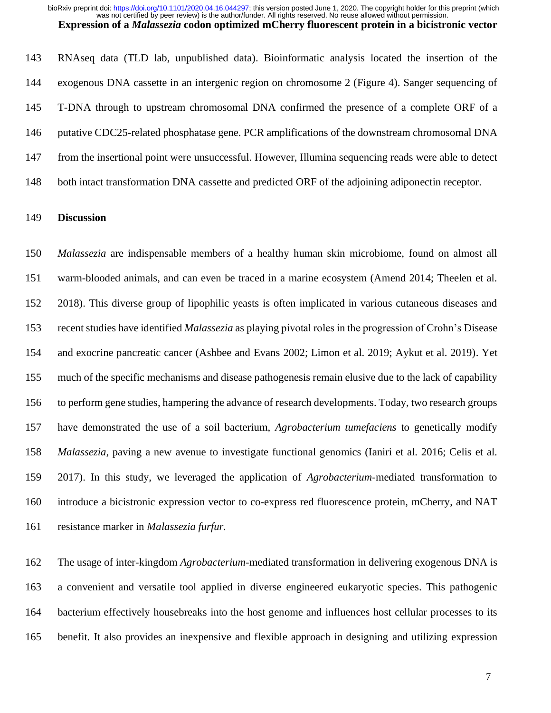RNAseq data (TLD lab, unpublished data). Bioinformatic analysis located the insertion of the exogenous DNA cassette in an intergenic region on chromosome 2 (Figure 4). Sanger sequencing of T-DNA through to upstream chromosomal DNA confirmed the presence of a complete ORF of a putative CDC25-related phosphatase gene. PCR amplifications of the downstream chromosomal DNA from the insertional point were unsuccessful. However, Illumina sequencing reads were able to detect both intact transformation DNA cassette and predicted ORF of the adjoining adiponectin receptor.

# **Discussion**

 *Malassezia* are indispensable members of a healthy human skin microbiome, found on almost all warm-blooded animals, and can even be traced in a marine ecosystem (Amend 2014; Theelen et al. 2018). This diverse group of lipophilic yeasts is often implicated in various cutaneous diseases and recent studies have identified *Malassezia* as playing pivotal roles in the progression of Crohn's Disease and exocrine pancreatic cancer (Ashbee and Evans 2002; Limon et al. 2019; Aykut et al. 2019). Yet much of the specific mechanisms and disease pathogenesis remain elusive due to the lack of capability to perform gene studies, hampering the advance of research developments. Today, two research groups have demonstrated the use of a soil bacterium, *Agrobacterium tumefaciens* to genetically modify *Malassezia*, paving a new avenue to investigate functional genomics (Ianiri et al. 2016; Celis et al. 2017). In this study, we leveraged the application of *Agrobacterium-*mediated transformation to introduce a bicistronic expression vector to co-express red fluorescence protein, mCherry, and NAT resistance marker in *Malassezia furfur.*

 The usage of inter-kingdom *Agrobacterium*-mediated transformation in delivering exogenous DNA is a convenient and versatile tool applied in diverse engineered eukaryotic species. This pathogenic bacterium effectively housebreaks into the host genome and influences host cellular processes to its benefit. It also provides an inexpensive and flexible approach in designing and utilizing expression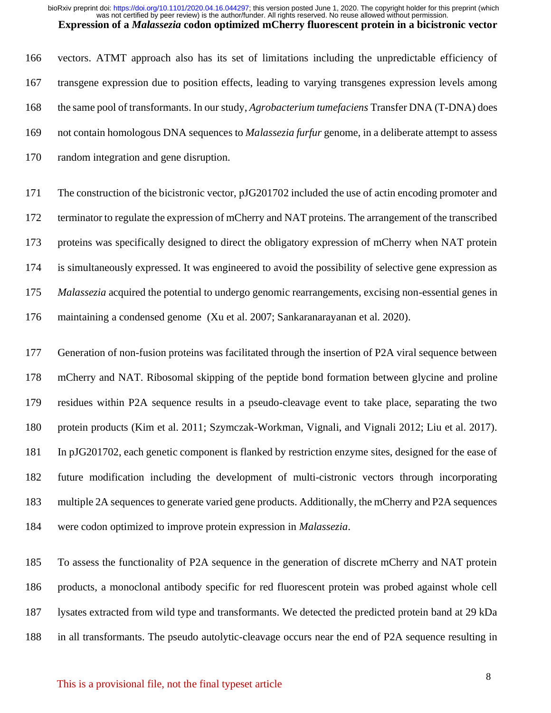vectors. ATMT approach also has its set of limitations including the unpredictable efficiency of transgene expression due to position effects, leading to varying transgenes expression levels among the same pool of transformants. In our study, *Agrobacterium tumefaciens* Transfer DNA (T-DNA) does not contain homologous DNA sequences to *Malassezia furfur* genome, in a deliberate attempt to assess random integration and gene disruption.

 The construction of the bicistronic vector, pJG201702 included the use of actin encoding promoter and terminator to regulate the expression of mCherry and NAT proteins. The arrangement of the transcribed proteins was specifically designed to direct the obligatory expression of mCherry when NAT protein is simultaneously expressed. It was engineered to avoid the possibility of selective gene expression as *Malassezia* acquired the potential to undergo genomic rearrangements, excising non-essential genes in maintaining a condensed genome (Xu et al. 2007; Sankaranarayanan et al. 2020).

 Generation of non-fusion proteins was facilitated through the insertion of P2A viral sequence between mCherry and NAT. Ribosomal skipping of the peptide bond formation between glycine and proline residues within P2A sequence results in a pseudo-cleavage event to take place, separating the two protein products (Kim et al. 2011; Szymczak-Workman, Vignali, and Vignali 2012; Liu et al. 2017). In pJG201702, each genetic component is flanked by restriction enzyme sites, designed for the ease of future modification including the development of multi-cistronic vectors through incorporating multiple 2A sequences to generate varied gene products. Additionally, the mCherry and P2A sequences were codon optimized to improve protein expression in *Malassezia*.

 To assess the functionality of P2A sequence in the generation of discrete mCherry and NAT protein products, a monoclonal antibody specific for red fluorescent protein was probed against whole cell lysates extracted from wild type and transformants. We detected the predicted protein band at 29 kDa in all transformants. The pseudo autolytic-cleavage occurs near the end of P2A sequence resulting in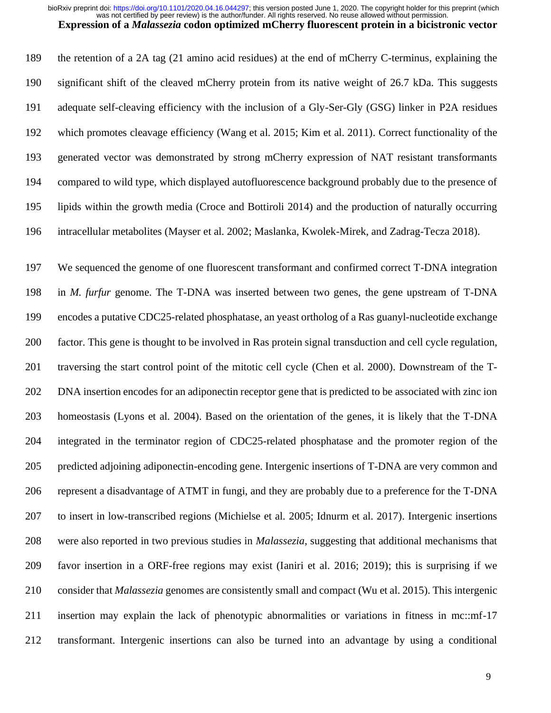was not certified by peer review) is the author/funder. All rights reserved. No reuse allowed without permission. bioRxiv preprint doi: [https://doi.org/10.1101/2020.04.16.044297;](https://doi.org/10.1101/2020.04.16.044297) this version posted June 1, 2020. The copyright holder for this preprint (which

**Expression of a** *Malassezia* **codon optimized mCherry fluorescent protein in a bicistronic vector**

 the retention of a 2A tag (21 amino acid residues) at the end of mCherry C-terminus, explaining the significant shift of the cleaved mCherry protein from its native weight of 26.7 kDa. This suggests adequate self-cleaving efficiency with the inclusion of a Gly-Ser-Gly (GSG) linker in P2A residues which promotes cleavage efficiency (Wang et al. 2015; Kim et al. 2011). Correct functionality of the generated vector was demonstrated by strong mCherry expression of NAT resistant transformants compared to wild type, which displayed autofluorescence background probably due to the presence of lipids within the growth media (Croce and Bottiroli 2014) and the production of naturally occurring

intracellular metabolites (Mayser et al. 2002; Maslanka, Kwolek-Mirek, and Zadrag-Tecza 2018).

 We sequenced the genome of one fluorescent transformant and confirmed correct T-DNA integration 198 in *M. furfur* genome. The T-DNA was inserted between two genes, the gene upstream of T-DNA encodes a putative CDC25-related phosphatase, an yeast ortholog of a Ras guanyl-nucleotide exchange factor. This gene is thought to be involved in Ras protein signal transduction and cell cycle regulation, traversing the start control point of the mitotic cell cycle (Chen et al. 2000). Downstream of the T- DNA insertion encodes for an adiponectin receptor gene that is predicted to be associated with zinc ion homeostasis (Lyons et al. 2004). Based on the orientation of the genes, it is likely that the T-DNA integrated in the terminator region of CDC25-related phosphatase and the promoter region of the predicted adjoining adiponectin-encoding gene. Intergenic insertions of T-DNA are very common and represent a disadvantage of ATMT in fungi, and they are probably due to a preference for the T-DNA to insert in low-transcribed regions (Michielse et al. 2005; Idnurm et al. 2017). Intergenic insertions were also reported in two previous studies in *Malassezia*, suggesting that additional mechanisms that favor insertion in a ORF-free regions may exist (Ianiri et al. 2016; 2019); this is surprising if we consider that *Malassezia* genomes are consistently small and compact (Wu et al. 2015). This intergenic insertion may explain the lack of phenotypic abnormalities or variations in fitness in mc::mf-17 transformant. Intergenic insertions can also be turned into an advantage by using a conditional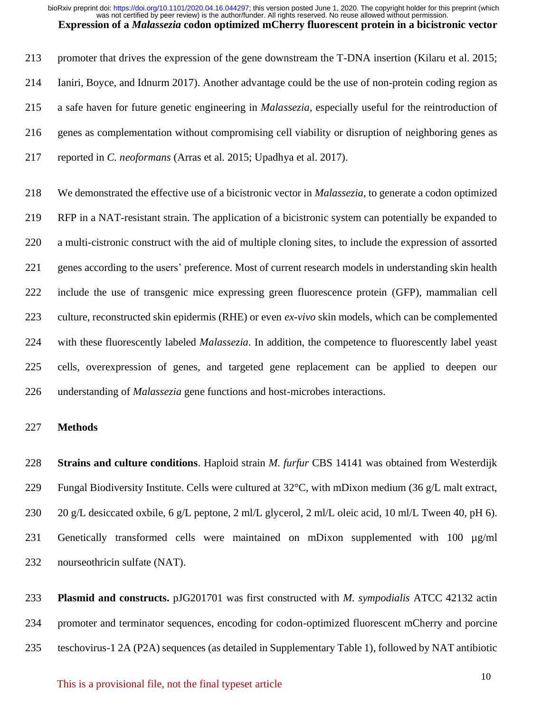promoter that drives the expression of the gene downstream the T-DNA insertion (Kilaru et al. 2015; Ianiri, Boyce, and Idnurm 2017). Another advantage could be the use of non-protein coding region as a safe haven for future genetic engineering in *Malassezia*, especially useful for the reintroduction of genes as complementation without compromising cell viability or disruption of neighboring genes as reported in *C. neoformans* (Arras et al. 2015; Upadhya et al. 2017).

 We demonstrated the effective use of a bicistronic vector in *Malassezia*, to generate a codon optimized RFP in a NAT-resistant strain. The application of a bicistronic system can potentially be expanded to a multi-cistronic construct with the aid of multiple cloning sites, to include the expression of assorted genes according to the users' preference. Most of current research models in understanding skin health include the use of transgenic mice expressing green fluorescence protein (GFP), mammalian cell culture, reconstructed skin epidermis (RHE) or even *ex-vivo* skin models, which can be complemented with these fluorescently labeled *Malassezia*. In addition, the competence to fluorescently label yeast cells, overexpression of genes, and targeted gene replacement can be applied to deepen our understanding of *Malassezia* gene functions and host-microbes interactions.

# **Methods**

 **Strains and culture conditions**. Haploid strain *M. furfur* CBS 14141 was obtained from Westerdijk Fungal Biodiversity Institute. Cells were cultured at 32°C, with mDixon medium (36 g/L malt extract, 20 g/L desiccated oxbile, 6 g/L peptone, 2 ml/L glycerol, 2 ml/L oleic acid, 10 ml/L Tween 40, pH 6). Genetically transformed cells were maintained on mDixon supplemented with 100 µg/ml nourseothricin sulfate (NAT).

 **Plasmid and constructs.** pJG201701 was first constructed with *M. sympodialis* ATCC 42132 actin promoter and terminator sequences, encoding for codon-optimized fluorescent mCherry and porcine teschovirus-1 2A (P2A) sequences (as detailed in Supplementary Table 1), followed by NAT antibiotic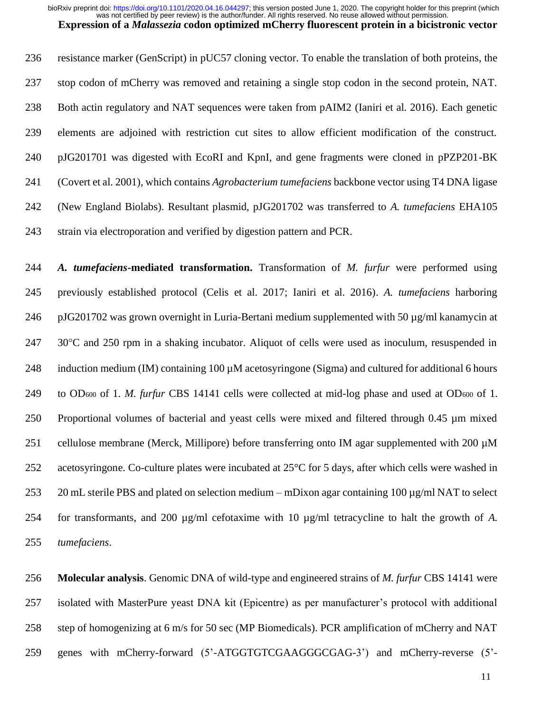was not certified by peer review) is the author/funder. All rights reserved. No reuse allowed without permission. bioRxiv preprint doi: [https://doi.org/10.1101/2020.04.16.044297;](https://doi.org/10.1101/2020.04.16.044297) this version posted June 1, 2020. The copyright holder for this preprint (which

**Expression of a** *Malassezia* **codon optimized mCherry fluorescent protein in a bicistronic vector** resistance marker (GenScript) in pUC57 cloning vector. To enable the translation of both proteins, the

 stop codon of mCherry was removed and retaining a single stop codon in the second protein, NAT. Both actin regulatory and NAT sequences were taken from pAIM2 (Ianiri et al. 2016). Each genetic elements are adjoined with restriction cut sites to allow efficient modification of the construct. pJG201701 was digested with EcoRI and KpnI, and gene fragments were cloned in pPZP201-BK (Covert et al. 2001), which contains *Agrobacterium tumefaciens* backbone vector using T4 DNA ligase (New England Biolabs). Resultant plasmid, pJG201702 was transferred to *A. tumefaciens* EHA105 strain via electroporation and verified by digestion pattern and PCR.

 *A. tumefaciens***-mediated transformation.** Transformation of *M. furfur* were performed using previously established protocol (Celis et al. 2017; Ianiri et al. 2016). *A. tumefaciens* harboring pJG201702 was grown overnight in Luria-Bertani medium supplemented with 50 µg/ml kanamycin at 247 30°C and 250 rpm in a shaking incubator. Aliquot of cells were used as inoculum, resuspended in 248 induction medium (IM) containing 100 uM acetosyringone (Sigma) and cultured for additional 6 hours to OD<sup>600</sup> of 1. *M. furfur* CBS 14141 cells were collected at mid-log phase and used at OD<sup>600</sup> of 1. Proportional volumes of bacterial and yeast cells were mixed and filtered through 0.45 µm mixed 251 cellulose membrane (Merck, Millipore) before transferring onto IM agar supplemented with 200  $\mu$ M acetosyringone. Co-culture plates were incubated at 25°C for 5 days, after which cells were washed in 253 20 mL sterile PBS and plated on selection medium – mDixon agar containing 100  $\mu$ g/ml NAT to select for transformants, and 200 µg/ml cefotaxime with 10 µg/ml tetracycline to halt the growth of *A. tumefaciens*.

 **Molecular analysis**. Genomic DNA of wild-type and engineered strains of *M. furfur* CBS 14141 were isolated with MasterPure yeast DNA kit (Epicentre) as per manufacturer's protocol with additional step of homogenizing at 6 m/s for 50 sec (MP Biomedicals). PCR amplification of mCherry and NAT genes with mCherry-forward (5'-ATGGTGTCGAAGGGCGAG-3') and mCherry-reverse (5'-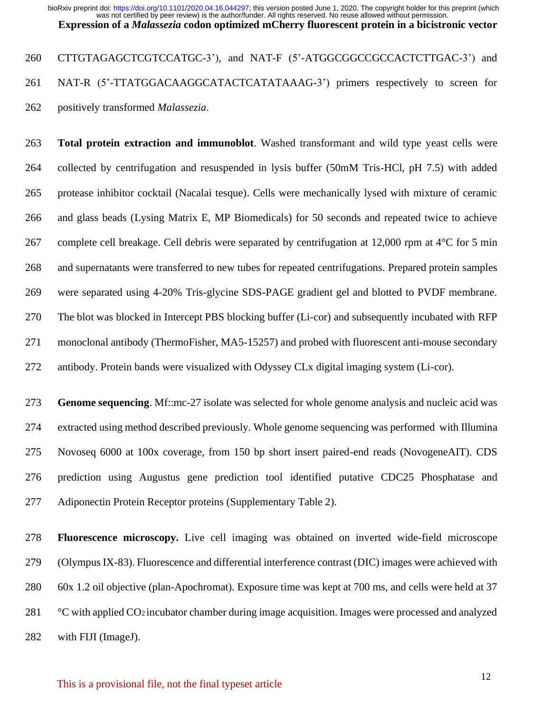260 CTTGTAGAGCTCGTCCATGC-3'), and NAT-F (5'-ATGGCGGCCGCCACTCTTGAC-3') and NAT-R (5'-TTATGGACAAGGCATACTCATATAAAG-3') primers respectively to screen for positively transformed *Malassezia*.

 **Total protein extraction and immunoblot**. Washed transformant and wild type yeast cells were collected by centrifugation and resuspended in lysis buffer (50mM Tris-HCl, pH 7.5) with added protease inhibitor cocktail (Nacalai tesque). Cells were mechanically lysed with mixture of ceramic and glass beads (Lysing Matrix E, MP Biomedicals) for 50 seconds and repeated twice to achieve complete cell breakage. Cell debris were separated by centrifugation at 12,000 rpm at 4°C for 5 min and supernatants were transferred to new tubes for repeated centrifugations. Prepared protein samples were separated using 4-20% Tris-glycine SDS-PAGE gradient gel and blotted to PVDF membrane. The blot was blocked in Intercept PBS blocking buffer (Li-cor) and subsequently incubated with RFP monoclonal antibody (ThermoFisher, MA5-15257) and probed with fluorescent anti-mouse secondary antibody. Protein bands were visualized with Odyssey CLx digital imaging system (Li-cor).

 **Genome sequencing**. Mf::mc-27 isolate was selected for whole genome analysis and nucleic acid was extracted using method described previously. Whole genome sequencing was performed with Illumina Novoseq 6000 at 100x coverage, from 150 bp short insert paired-end reads (NovogeneAIT). CDS prediction using Augustus gene prediction tool identified putative CDC25 Phosphatase and Adiponectin Protein Receptor proteins (Supplementary Table 2).

 **Fluorescence microscopy.** Live cell imaging was obtained on inverted wide-field microscope (Olympus IX-83). Fluorescence and differential interference contrast (DIC) images were achieved with 60x 1.2 oil objective (plan-Apochromat). Exposure time was kept at 700 ms, and cells were held at 37 °C with applied CO2 incubator chamber during image acquisition. Images were processed and analyzed with FIJI (ImageJ).

# This is a provisional file, not the final typeset article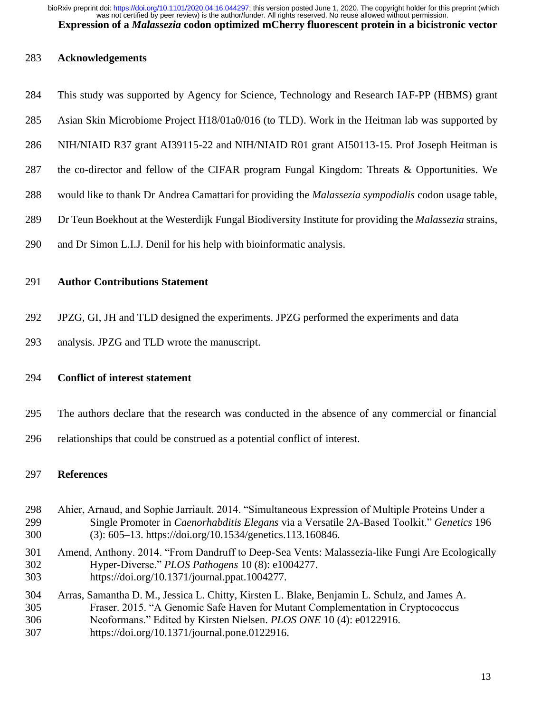#### **Acknowledgements**

- This study was supported by Agency for Science, Technology and Research IAF-PP (HBMS) grant
- Asian Skin Microbiome Project H18/01a0/016 (to TLD). Work in the Heitman lab was supported by
- NIH/NIAID R37 grant AI39115-22 and NIH/NIAID R01 grant AI50113-15. Prof Joseph Heitman is
- the co-director and fellow of the CIFAR program Fungal Kingdom: Threats & Opportunities. We
- would like to thank Dr Andrea Camattarifor providing the *Malassezia sympodialis* codon usage table,
- Dr Teun Boekhout at the Westerdijk Fungal Biodiversity Institute for providing the *Malassezia* strains,
- and Dr Simon L.I.J. Denil for his help with bioinformatic analysis.

# **Author Contributions Statement**

- JPZG, GI, JH and TLD designed the experiments. JPZG performed the experiments and data
- analysis. JPZG and TLD wrote the manuscript.

# **Conflict of interest statement**

- The authors declare that the research was conducted in the absence of any commercial or financial
- relationships that could be construed as a potential conflict of interest.

# **References**

- Ahier, Arnaud, and Sophie Jarriault. 2014. "Simultaneous Expression of Multiple Proteins Under a Single Promoter in *Caenorhabditis Elegans* via a Versatile 2A-Based Toolkit." *Genetics* 196 (3): 605–13. https://doi.org/10.1534/genetics.113.160846.
- Amend, Anthony. 2014. "From Dandruff to Deep-Sea Vents: Malassezia-like Fungi Are Ecologically Hyper-Diverse." *PLOS Pathogens* 10 (8): e1004277. https://doi.org/10.1371/journal.ppat.1004277.
- Arras, Samantha D. M., Jessica L. Chitty, Kirsten L. Blake, Benjamin L. Schulz, and James A. Fraser. 2015. "A Genomic Safe Haven for Mutant Complementation in Cryptococcus
- Neoformans." Edited by Kirsten Nielsen. *PLOS ONE* 10 (4): e0122916.
- https://doi.org/10.1371/journal.pone.0122916.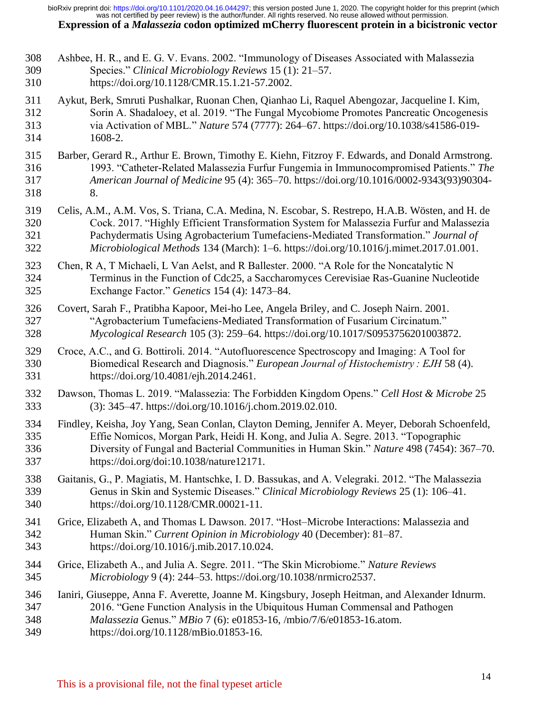Ashbee, H. R., and E. G. V. Evans. 2002. "Immunology of Diseases Associated with Malassezia Species." *Clinical Microbiology Reviews* 15 (1): 21–57. https://doi.org/10.1128/CMR.15.1.21-57.2002. Aykut, Berk, Smruti Pushalkar, Ruonan Chen, Qianhao Li, Raquel Abengozar, Jacqueline I. Kim, Sorin A. Shadaloey, et al. 2019. "The Fungal Mycobiome Promotes Pancreatic Oncogenesis via Activation of MBL." *Nature* 574 (7777): 264–67. https://doi.org/10.1038/s41586-019- 1608-2. Barber, Gerard R., Arthur E. Brown, Timothy E. Kiehn, Fitzroy F. Edwards, and Donald Armstrong. 1993. "Catheter-Related Malassezia Furfur Fungemia in Immunocompromised Patients." *The American Journal of Medicine* 95 (4): 365–70. https://doi.org/10.1016/0002-9343(93)90304- 8. Celis, A.M., A.M. Vos, S. Triana, C.A. Medina, N. Escobar, S. Restrepo, H.A.B. Wösten, and H. de Cock. 2017. "Highly Efficient Transformation System for Malassezia Furfur and Malassezia Pachydermatis Using Agrobacterium Tumefaciens-Mediated Transformation." *Journal of Microbiological Methods* 134 (March): 1–6. https://doi.org/10.1016/j.mimet.2017.01.001. Chen, R A, T Michaeli, L Van Aelst, and R Ballester. 2000. "A Role for the Noncatalytic N Terminus in the Function of Cdc25, a Saccharomyces Cerevisiae Ras-Guanine Nucleotide Exchange Factor." *Genetics* 154 (4): 1473–84. Covert, Sarah F., Pratibha Kapoor, Mei-ho Lee, Angela Briley, and C. Joseph Nairn. 2001. "Agrobacterium Tumefaciens-Mediated Transformation of Fusarium Circinatum." *Mycological Research* 105 (3): 259–64. https://doi.org/10.1017/S0953756201003872. Croce, A.C., and G. Bottiroli. 2014. "Autofluorescence Spectroscopy and Imaging: A Tool for Biomedical Research and Diagnosis." *European Journal of Histochemistry : EJH* 58 (4). https://doi.org/10.4081/ejh.2014.2461. Dawson, Thomas L. 2019. "Malassezia: The Forbidden Kingdom Opens." *Cell Host & Microbe* 25 (3): 345–47. https://doi.org/10.1016/j.chom.2019.02.010. Findley, Keisha, Joy Yang, Sean Conlan, Clayton Deming, Jennifer A. Meyer, Deborah Schoenfeld, Effie Nomicos, Morgan Park, Heidi H. Kong, and Julia A. Segre. 2013. "Topographic Diversity of Fungal and Bacterial Communities in Human Skin." *Nature* 498 (7454): 367–70. https://doi.org/doi:10.1038/nature12171. Gaitanis, G., P. Magiatis, M. Hantschke, I. D. Bassukas, and A. Velegraki. 2012. "The Malassezia Genus in Skin and Systemic Diseases." *Clinical Microbiology Reviews* 25 (1): 106–41. https://doi.org/10.1128/CMR.00021-11. Grice, Elizabeth A, and Thomas L Dawson. 2017. "Host–Microbe Interactions: Malassezia and Human Skin." *Current Opinion in Microbiology* 40 (December): 81–87. https://doi.org/10.1016/j.mib.2017.10.024. Grice, Elizabeth A., and Julia A. Segre. 2011. "The Skin Microbiome." *Nature Reviews Microbiology* 9 (4): 244–53. https://doi.org/10.1038/nrmicro2537. Ianiri, Giuseppe, Anna F. Averette, Joanne M. Kingsbury, Joseph Heitman, and Alexander Idnurm. 2016. "Gene Function Analysis in the Ubiquitous Human Commensal and Pathogen *Malassezia* Genus." *MBio* 7 (6): e01853-16, /mbio/7/6/e01853-16.atom. https://doi.org/10.1128/mBio.01853-16.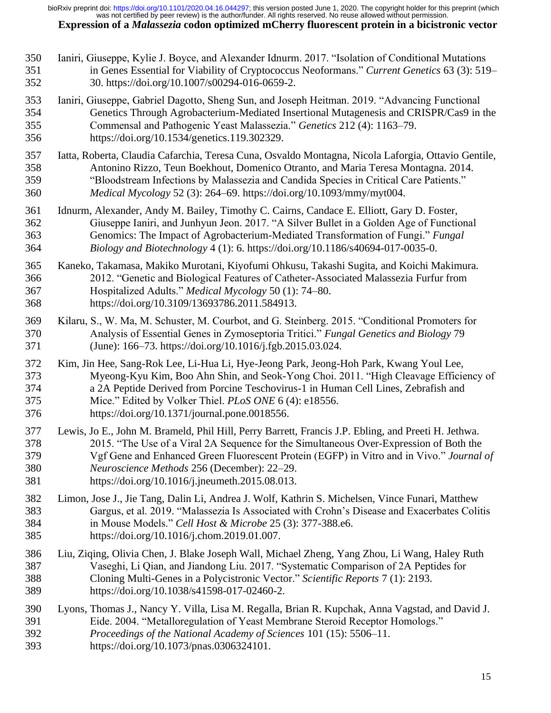Ianiri, Giuseppe, Kylie J. Boyce, and Alexander Idnurm. 2017. "Isolation of Conditional Mutations in Genes Essential for Viability of Cryptococcus Neoformans." *Current Genetics* 63 (3): 519– 30. https://doi.org/10.1007/s00294-016-0659-2. Ianiri, Giuseppe, Gabriel Dagotto, Sheng Sun, and Joseph Heitman. 2019. "Advancing Functional Genetics Through Agrobacterium-Mediated Insertional Mutagenesis and CRISPR/Cas9 in the Commensal and Pathogenic Yeast Malassezia." *Genetics* 212 (4): 1163–79. https://doi.org/10.1534/genetics.119.302329. Iatta, Roberta, Claudia Cafarchia, Teresa Cuna, Osvaldo Montagna, Nicola Laforgia, Ottavio Gentile, Antonino Rizzo, Teun Boekhout, Domenico Otranto, and Maria Teresa Montagna. 2014. "Bloodstream Infections by Malassezia and Candida Species in Critical Care Patients." *Medical Mycology* 52 (3): 264–69. https://doi.org/10.1093/mmy/myt004. Idnurm, Alexander, Andy M. Bailey, Timothy C. Cairns, Candace E. Elliott, Gary D. Foster, Giuseppe Ianiri, and Junhyun Jeon. 2017. "A Silver Bullet in a Golden Age of Functional Genomics: The Impact of Agrobacterium-Mediated Transformation of Fungi." *Fungal Biology and Biotechnology* 4 (1): 6. https://doi.org/10.1186/s40694-017-0035-0. Kaneko, Takamasa, Makiko Murotani, Kiyofumi Ohkusu, Takashi Sugita, and Koichi Makimura. 2012. "Genetic and Biological Features of Catheter-Associated Malassezia Furfur from Hospitalized Adults." *Medical Mycology* 50 (1): 74–80. https://doi.org/10.3109/13693786.2011.584913. Kilaru, S., W. Ma, M. Schuster, M. Courbot, and G. Steinberg. 2015. "Conditional Promoters for Analysis of Essential Genes in Zymoseptoria Tritici." *Fungal Genetics and Biology* 79 (June): 166–73. https://doi.org/10.1016/j.fgb.2015.03.024. Kim, Jin Hee, Sang-Rok Lee, Li-Hua Li, Hye-Jeong Park, Jeong-Hoh Park, Kwang Youl Lee, Myeong-Kyu Kim, Boo Ahn Shin, and Seok-Yong Choi. 2011. "High Cleavage Efficiency of a 2A Peptide Derived from Porcine Teschovirus-1 in Human Cell Lines, Zebrafish and Mice." Edited by Volker Thiel. *PLoS ONE* 6 (4): e18556. https://doi.org/10.1371/journal.pone.0018556. Lewis, Jo E., John M. Brameld, Phil Hill, Perry Barrett, Francis J.P. Ebling, and Preeti H. Jethwa. 2015. "The Use of a Viral 2A Sequence for the Simultaneous Over-Expression of Both the Vgf Gene and Enhanced Green Fluorescent Protein (EGFP) in Vitro and in Vivo." *Journal of Neuroscience Methods* 256 (December): 22–29. https://doi.org/10.1016/j.jneumeth.2015.08.013. Limon, Jose J., Jie Tang, Dalin Li, Andrea J. Wolf, Kathrin S. Michelsen, Vince Funari, Matthew Gargus, et al. 2019. "Malassezia Is Associated with Crohn's Disease and Exacerbates Colitis in Mouse Models." *Cell Host & Microbe* 25 (3): 377-388.e6. https://doi.org/10.1016/j.chom.2019.01.007. Liu, Ziqing, Olivia Chen, J. Blake Joseph Wall, Michael Zheng, Yang Zhou, Li Wang, Haley Ruth Vaseghi, Li Qian, and Jiandong Liu. 2017. "Systematic Comparison of 2A Peptides for Cloning Multi-Genes in a Polycistronic Vector." *Scientific Reports* 7 (1): 2193. https://doi.org/10.1038/s41598-017-02460-2. Lyons, Thomas J., Nancy Y. Villa, Lisa M. Regalla, Brian R. Kupchak, Anna Vagstad, and David J. Eide. 2004. "Metalloregulation of Yeast Membrane Steroid Receptor Homologs." *Proceedings of the National Academy of Sciences* 101 (15): 5506–11. https://doi.org/10.1073/pnas.0306324101.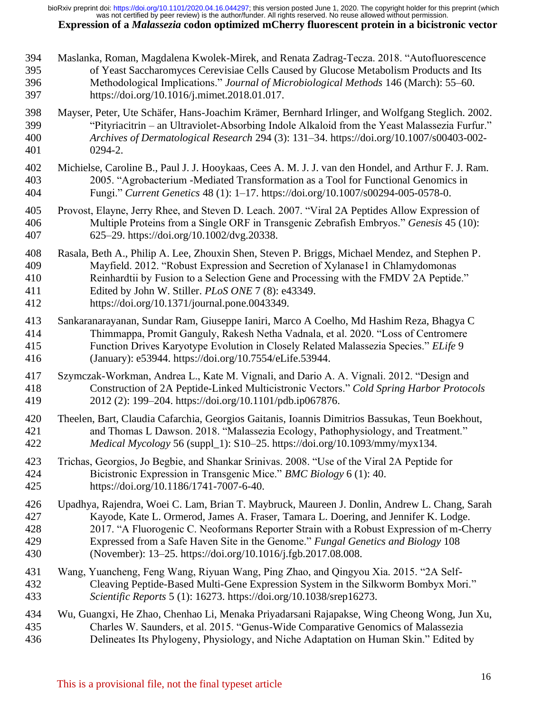Maslanka, Roman, Magdalena Kwolek-Mirek, and Renata Zadrag-Tecza. 2018. "Autofluorescence of Yeast Saccharomyces Cerevisiae Cells Caused by Glucose Metabolism Products and Its Methodological Implications." *Journal of Microbiological Methods* 146 (March): 55–60. https://doi.org/10.1016/j.mimet.2018.01.017. Mayser, Peter, Ute Schäfer, Hans-Joachim Krämer, Bernhard Irlinger, and Wolfgang Steglich. 2002. "Pityriacitrin – an Ultraviolet-Absorbing Indole Alkaloid from the Yeast Malassezia Furfur." *Archives of Dermatological Research* 294 (3): 131–34. https://doi.org/10.1007/s00403-002- 0294-2. Michielse, Caroline B., Paul J. J. Hooykaas, Cees A. M. J. J. van den Hondel, and Arthur F. J. Ram. 2005. "Agrobacterium -Mediated Transformation as a Tool for Functional Genomics in Fungi." *Current Genetics* 48 (1): 1–17. https://doi.org/10.1007/s00294-005-0578-0. Provost, Elayne, Jerry Rhee, and Steven D. Leach. 2007. "Viral 2A Peptides Allow Expression of Multiple Proteins from a Single ORF in Transgenic Zebrafish Embryos." *Genesis* 45 (10): 625–29. https://doi.org/10.1002/dvg.20338. Rasala, Beth A., Philip A. Lee, Zhouxin Shen, Steven P. Briggs, Michael Mendez, and Stephen P. Mayfield. 2012. "Robust Expression and Secretion of Xylanase1 in Chlamydomonas Reinhardtii by Fusion to a Selection Gene and Processing with the FMDV 2A Peptide." Edited by John W. Stiller. *PLoS ONE* 7 (8): e43349. https://doi.org/10.1371/journal.pone.0043349. Sankaranarayanan, Sundar Ram, Giuseppe Ianiri, Marco A Coelho, Md Hashim Reza, Bhagya C Thimmappa, Promit Ganguly, Rakesh Netha Vadnala, et al. 2020. "Loss of Centromere Function Drives Karyotype Evolution in Closely Related Malassezia Species." *ELife* 9 (January): e53944. https://doi.org/10.7554/eLife.53944. Szymczak-Workman, Andrea L., Kate M. Vignali, and Dario A. A. Vignali. 2012. "Design and Construction of 2A Peptide-Linked Multicistronic Vectors." *Cold Spring Harbor Protocols* 2012 (2): 199–204. https://doi.org/10.1101/pdb.ip067876. Theelen, Bart, Claudia Cafarchia, Georgios Gaitanis, Ioannis Dimitrios Bassukas, Teun Boekhout, and Thomas L Dawson. 2018. "Malassezia Ecology, Pathophysiology, and Treatment." *Medical Mycology* 56 (suppl\_1): S10–25. https://doi.org/10.1093/mmy/myx134. Trichas, Georgios, Jo Begbie, and Shankar Srinivas. 2008. "Use of the Viral 2A Peptide for Bicistronic Expression in Transgenic Mice." *BMC Biology* 6 (1): 40. https://doi.org/10.1186/1741-7007-6-40. Upadhya, Rajendra, Woei C. Lam, Brian T. Maybruck, Maureen J. Donlin, Andrew L. Chang, Sarah Kayode, Kate L. Ormerod, James A. Fraser, Tamara L. Doering, and Jennifer K. Lodge. 2017. "A Fluorogenic C. Neoformans Reporter Strain with a Robust Expression of m-Cherry Expressed from a Safe Haven Site in the Genome." *Fungal Genetics and Biology* 108 (November): 13–25. https://doi.org/10.1016/j.fgb.2017.08.008. Wang, Yuancheng, Feng Wang, Riyuan Wang, Ping Zhao, and Qingyou Xia. 2015. "2A Self- Cleaving Peptide-Based Multi-Gene Expression System in the Silkworm Bombyx Mori." *Scientific Reports* 5 (1): 16273. https://doi.org/10.1038/srep16273. Wu, Guangxi, He Zhao, Chenhao Li, Menaka Priyadarsani Rajapakse, Wing Cheong Wong, Jun Xu, Charles W. Saunders, et al. 2015. "Genus-Wide Comparative Genomics of Malassezia Delineates Its Phylogeny, Physiology, and Niche Adaptation on Human Skin." Edited by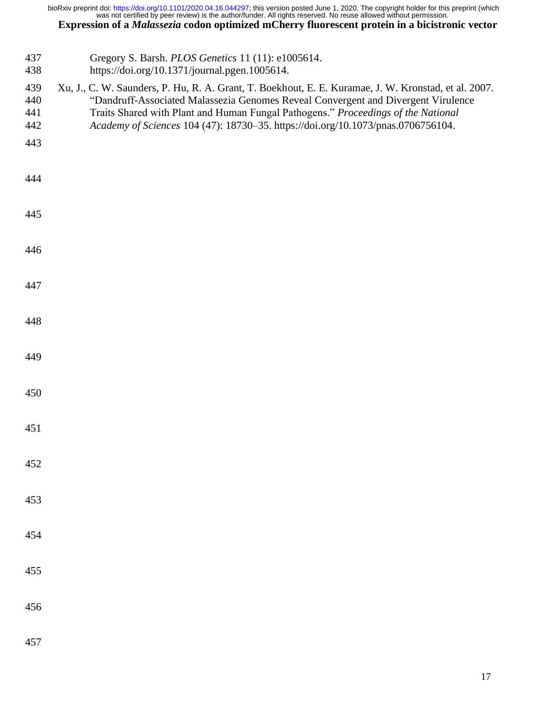- Gregory S. Barsh. *PLOS Genetics* 11 (11): e1005614.
- https://doi.org/10.1371/journal.pgen.1005614.
- Xu, J., C. W. Saunders, P. Hu, R. A. Grant, T. Boekhout, E. E. Kuramae, J. W. Kronstad, et al. 2007. "Dandruff-Associated Malassezia Genomes Reveal Convergent and Divergent Virulence Traits Shared with Plant and Human Fungal Pathogens." *Proceedings of the National*
- *Academy of Sciences* 104 (47): 18730–35. https://doi.org/10.1073/pnas.0706756104.
- 
- 
- 
- 
- 
- 
- 
- 
- 
- 
- 
- 
- 
- 
- 
- 
- 
-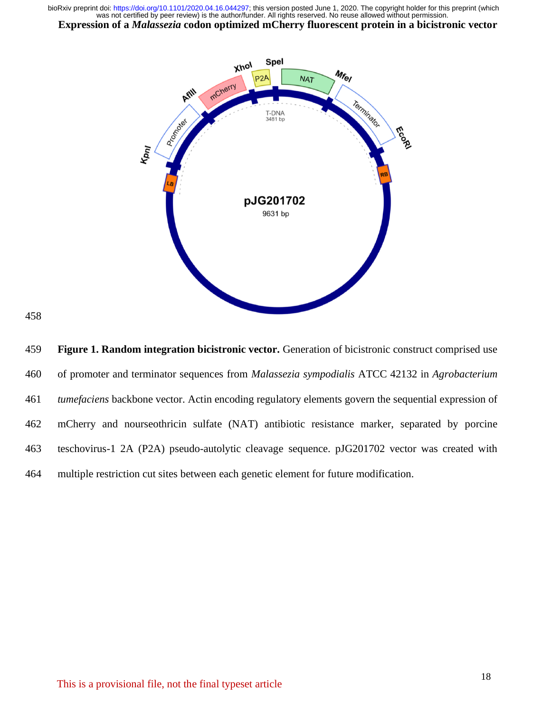



 **Figure 1. Random integration bicistronic vector.** Generation of bicistronic construct comprised use of promoter and terminator sequences from *Malassezia sympodialis* ATCC 42132 in *Agrobacterium tumefaciens* backbone vector. Actin encoding regulatory elements govern the sequential expression of mCherry and nourseothricin sulfate (NAT) antibiotic resistance marker, separated by porcine teschovirus-1 2A (P2A) pseudo-autolytic cleavage sequence. pJG201702 vector was created with multiple restriction cut sites between each genetic element for future modification.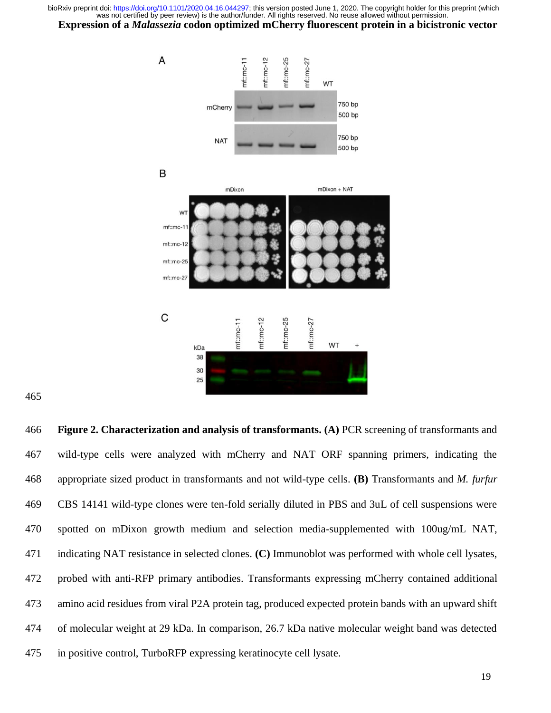

 **Figure 2. Characterization and analysis of transformants. (A)** PCR screening of transformants and wild-type cells were analyzed with mCherry and NAT ORF spanning primers, indicating the appropriate sized product in transformants and not wild-type cells. **(B)** Transformants and *M. furfur* CBS 14141 wild-type clones were ten-fold serially diluted in PBS and 3uL of cell suspensions were spotted on mDixon growth medium and selection media-supplemented with 100ug/mL NAT, indicating NAT resistance in selected clones. **(C)** Immunoblot was performed with whole cell lysates, probed with anti-RFP primary antibodies. Transformants expressing mCherry contained additional amino acid residues from viral P2A protein tag, produced expected protein bands with an upward shift of molecular weight at 29 kDa. In comparison, 26.7 kDa native molecular weight band was detected in positive control, TurboRFP expressing keratinocyte cell lysate.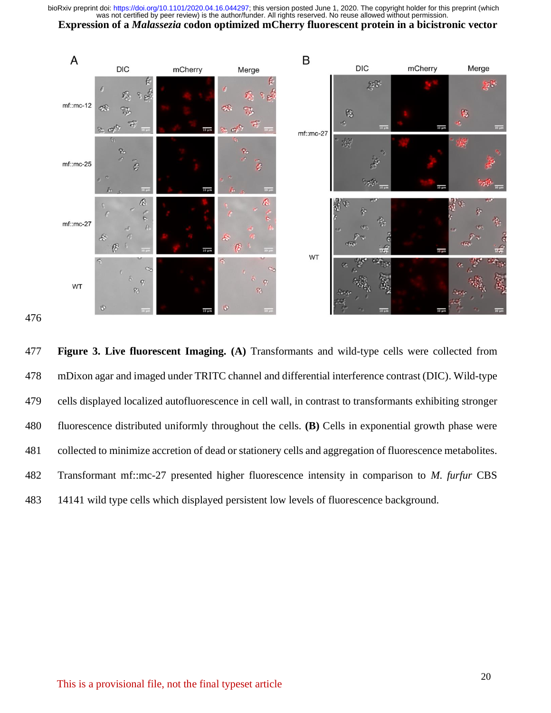



 **Figure 3. Live fluorescent Imaging. (A)** Transformants and wild-type cells were collected from mDixon agar and imaged under TRITC channel and differential interference contrast (DIC). Wild-type cells displayed localized autofluorescence in cell wall, in contrast to transformants exhibiting stronger fluorescence distributed uniformly throughout the cells. **(B)** Cells in exponential growth phase were collected to minimize accretion of dead or stationery cells and aggregation of fluorescence metabolites. Transformant mf::mc-27 presented higher fluorescence intensity in comparison to *M. furfur* CBS 14141 wild type cells which displayed persistent low levels of fluorescence background.